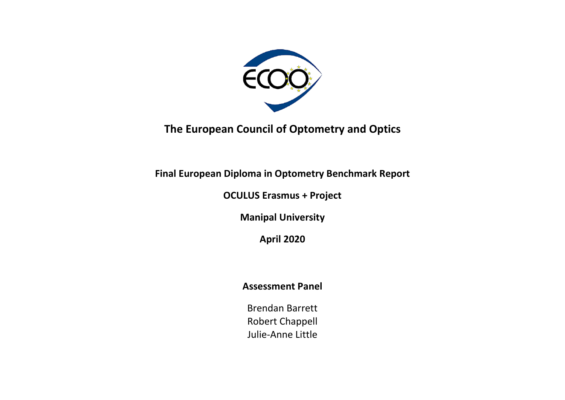

**The European Council of Optometry and Optics**

**Final European Diploma in Optometry Benchmark Report** 

**OCULUS Erasmus + Project**

**Manipal University**

**April 2020**

# **Assessment Panel**

Brendan Barrett Robert Chappell Julie-Anne Little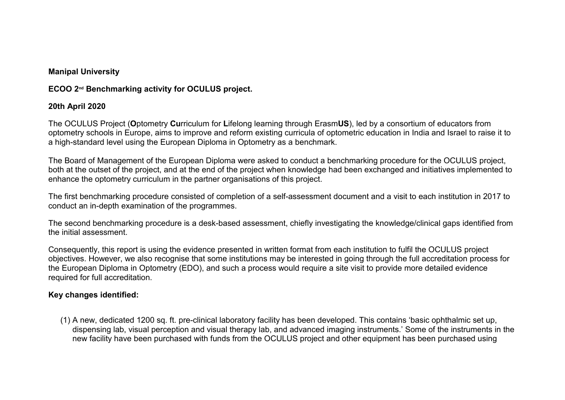#### **Manipal University**

### **ECOO 2nd Benchmarking activity for OCULUS project.**

#### **20th April 2020**

The OCULUS Project (**O**ptometry **Cu**rriculum for **L**ifelong learning through Erasm**US**), led by a consortium of educators from optometry schools in Europe, aims to improve and reform existing curricula of optometric education in India and Israel to raise it to a high-standard level using the European Diploma in Optometry as a benchmark.

The Board of Management of the European Diploma were asked to conduct a benchmarking procedure for the OCULUS project, both at the outset of the project, and at the end of the project when knowledge had been exchanged and initiatives implemented to enhance the optometry curriculum in the partner organisations of this project.

The first benchmarking procedure consisted of completion of a self-assessment document and a visit to each institution in 2017 to conduct an in-depth examination of the programmes.

The second benchmarking procedure is a desk-based assessment, chiefly investigating the knowledge/clinical gaps identified from the initial assessment.

Consequently, this report is using the evidence presented in written format from each institution to fulfil the OCULUS project objectives. However, we also recognise that some institutions may be interested in going through the full accreditation process for the European Diploma in Optometry (EDO), and such a process would require a site visit to provide more detailed evidence required for full accreditation.

### **Key changes identified:**

(1) A new, dedicated 1200 sq. ft. pre-clinical laboratory facility has been developed. This contains 'basic ophthalmic set up, dispensing lab, visual perception and visual therapy lab, and advanced imaging instruments.' Some of the instruments in the new facility have been purchased with funds from the OCULUS project and other equipment has been purchased using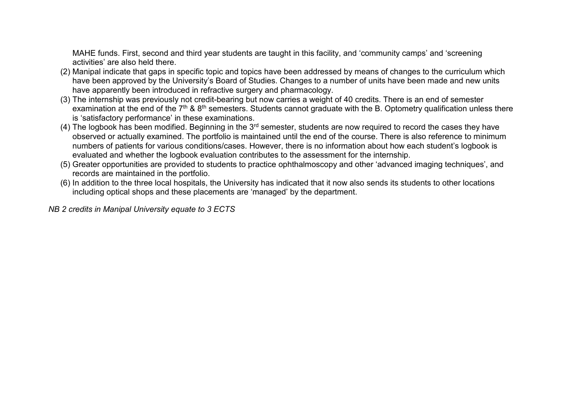MAHE funds. First, second and third year students are taught in this facility, and 'community camps' and 'screening activities' are also held there.

- (2) Manipal indicate that gaps in specific topic and topics have been addressed by means of changes to the curriculum which have been approved by the University's Board of Studies. Changes to a number of units have been made and new units have apparently been introduced in refractive surgery and pharmacology.
- (3) The internship was previously not credit-bearing but now carries a weight of 40 credits. There is an end of semester examination at the end of the 7<sup>th</sup> & 8<sup>th</sup> semesters. Students cannot graduate with the B. Optometry qualification unless there is 'satisfactory performance' in these examinations.
- (4) The logbook has been modified. Beginning in the  $3<sup>rd</sup>$  semester, students are now required to record the cases they have observed or actually examined. The portfolio is maintained until the end of the course. There is also reference to minimum numbers of patients for various conditions/cases. However, there is no information about how each student's logbook is evaluated and whether the logbook evaluation contributes to the assessment for the internship.
- (5) Greater opportunities are provided to students to practice ophthalmoscopy and other 'advanced imaging techniques', and records are maintained in the portfolio.
- (6) In addition to the three local hospitals, the University has indicated that it now also sends its students to other locations including optical shops and these placements are 'managed' by the department.

*NB 2 credits in Manipal University equate to 3 ECTS*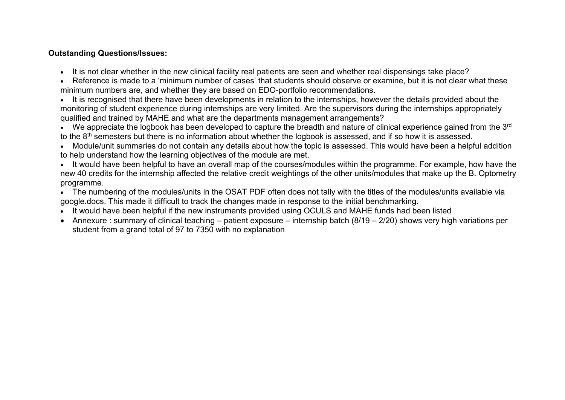### **Outstanding Questions/Issues:**

- It is not clear whether in the new clinical facility real patients are seen and whether real dispensings take place?
- Reference is made to a 'minimum number of cases' that students should observe or examine, but it is not clear what these minimum numbers are, and whether they are based on EDO-portfolio recommendations.
- It is recognised that there have been developments in relation to the internships, however the details provided about the monitoring of student experience during internships are very limited. Are the supervisors during the internships appropriately qualified and trained by MAHE and what are the departments management arrangements?
- We appreciate the logbook has been developed to capture the breadth and nature of clinical experience gained from the 3<sup>rd</sup> to the 8th semesters but there is no information about whether the logbook is assessed, and if so how it is assessed.
- Module/unit summaries do not contain any details about how the topic is assessed. This would have been a helpful addition to help understand how the learning objectives of the module are met.
- It would have been helpful to have an overall map of the courses/modules within the programme. For example, how have the new 40 credits for the internship affected the relative credit weightings of the other units/modules that make up the B. Optometry programme.
- The numbering of the modules/units in the OSAT PDF often does not tally with the titles of the modules/units available via google.docs. This made it difficult to track the changes made in response to the initial benchmarking.
- It would have been helpful if the new instruments provided using OCULS and MAHE funds had been listed
- Annexure : summary of clinical teaching patient exposure internship batch (8/19 2/20) shows very high variations per student from a grand total of 97 to 7350 with no explanation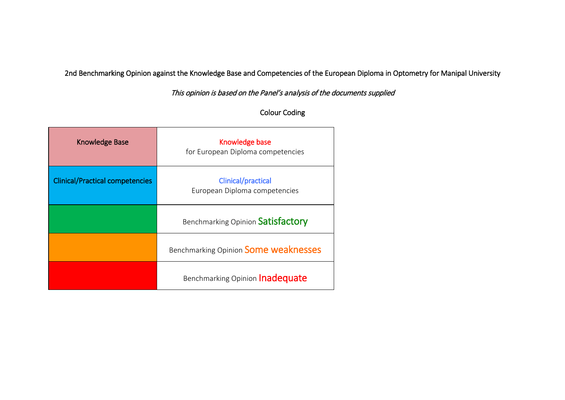2nd Benchmarking Opinion against the Knowledge Base and Competencies of the European Diploma in Optometry for Manipal University

This opinion is based on the Panel's analysis of the documents supplied

## Colour Coding

| <b>Knowledge Base</b>                  | Knowledge base<br>for European Diploma competencies |
|----------------------------------------|-----------------------------------------------------|
| <b>Clinical/Practical competencies</b> | Clinical/practical<br>European Diploma competencies |
|                                        | Benchmarking Opinion Satisfactory                   |
|                                        | Benchmarking Opinion Some weaknesses                |
|                                        | Benchmarking Opinion <b>Inadequate</b>              |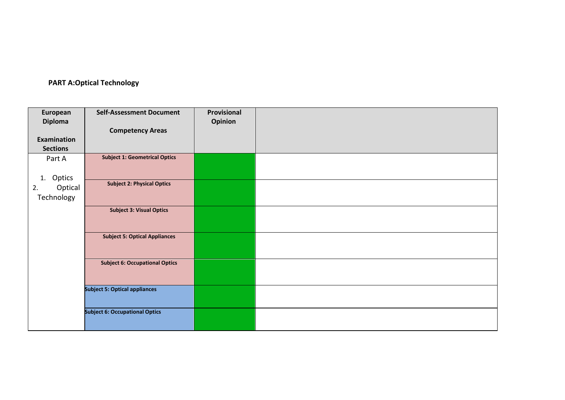## **PART A:Optical Technology**

| European        | <b>Self-Assessment Document</b>       | Provisional |  |
|-----------------|---------------------------------------|-------------|--|
| <b>Diploma</b>  |                                       | Opinion     |  |
|                 | <b>Competency Areas</b>               |             |  |
| Examination     |                                       |             |  |
| <b>Sections</b> |                                       |             |  |
| Part A          | <b>Subject 1: Geometrical Optics</b>  |             |  |
| Optics<br>1.    |                                       |             |  |
| Optical<br>2.   | <b>Subject 2: Physical Optics</b>     |             |  |
| Technology      |                                       |             |  |
|                 | <b>Subject 3: Visual Optics</b>       |             |  |
|                 | <b>Subject 5: Optical Appliances</b>  |             |  |
|                 | <b>Subject 6: Occupational Optics</b> |             |  |
|                 | <b>Subject 5: Optical appliances</b>  |             |  |
|                 | <b>Subject 6: Occupational Optics</b> |             |  |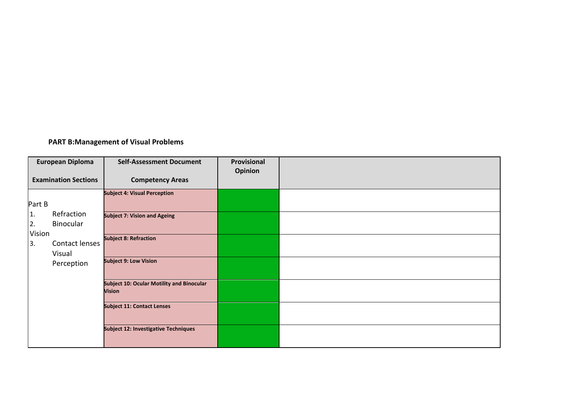## **PART B:Management of Visual Problems**

|                    | <b>European Diploma</b>     | <b>Self-Assessment Document</b>                                   | Provisional<br><b>Opinion</b> |  |
|--------------------|-----------------------------|-------------------------------------------------------------------|-------------------------------|--|
|                    | <b>Examination Sections</b> | <b>Competency Areas</b>                                           |                               |  |
|                    |                             | <b>Subject 4: Visual Perception</b>                               |                               |  |
| Part B             |                             |                                                                   |                               |  |
| 1.<br>2.<br>Vision | Refraction<br>Binocular     | <b>Subject 7: Vision and Ageing</b>                               |                               |  |
| 3.                 | Contact lenses<br>Visual    | <b>Subject 8: Refraction</b>                                      |                               |  |
|                    | Perception                  | <b>Subject 9: Low Vision</b>                                      |                               |  |
|                    |                             | <b>Subject 10: Ocular Motility and Binocular</b><br><b>Vision</b> |                               |  |
|                    |                             | <b>Subject 11: Contact Lenses</b>                                 |                               |  |
|                    |                             | <b>Subject 12: Investigative Techniques</b>                       |                               |  |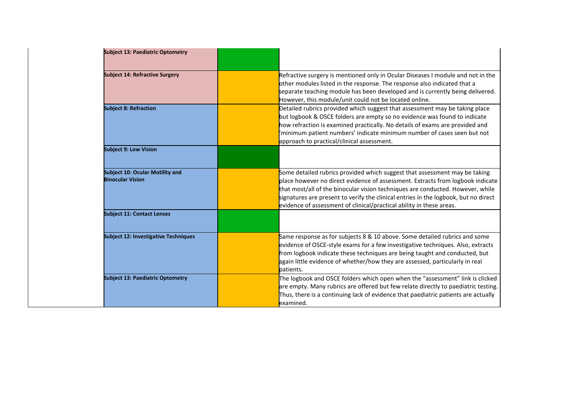| <b>Subject 13: Paediatric Optometry</b>                           |                                                                                                                                                                                                                                                                                                                                                                                                               |
|-------------------------------------------------------------------|---------------------------------------------------------------------------------------------------------------------------------------------------------------------------------------------------------------------------------------------------------------------------------------------------------------------------------------------------------------------------------------------------------------|
| <b>Subject 14: Refractive Surgery</b>                             | Refractive surgery is mentioned only in Ocular Diseases I module and not in the<br>other modules listed in the response. The response also indicated that a<br>separate teaching module has been developed and is currently being delivered.<br>However, this module/unit could not be located online.                                                                                                        |
| <b>Subject 8: Refraction</b>                                      | Detailed rubrics provided which suggest that assessment may be taking place<br>but logbook & OSCE folders are empty so no evidence was found to indicate<br>how refraction is examined practically. No details of exams are provided and<br>'minimum patient numbers' indicate minimum number of cases seen but not<br>approach to practical/clinical assessment.                                             |
| <b>Subject 9: Low Vision</b>                                      |                                                                                                                                                                                                                                                                                                                                                                                                               |
| <b>Subject 10: Ocular Motility and</b><br><b>Binocular Vision</b> | Some detailed rubrics provided which suggest that assessment may be taking<br>place however no direct evidence of assessment. Extracts from logbook indicate<br>that most/all of the binocular vision techniques are conducted. However, while<br>signatures are present to verify the clinical entries in the logbook, but no direct<br>evidence of assessment of clinical/practical ability in these areas. |
| <b>Subject 11: Contact Lenses</b>                                 |                                                                                                                                                                                                                                                                                                                                                                                                               |
| <b>Subject 12: Investigative Techniques</b>                       | Same response as for subjects 8 & 10 above. Some detailed rubrics and some<br>evidence of OSCE-style exams for a few investigative techniques. Also, extracts<br>from logbook indicate these techniques are being taught and conducted, but<br>again little evidence of whether/how they are assessed, particularly in real<br>patients.                                                                      |
| <b>Subject 13: Paediatric Optometry</b>                           | The logbook and OSCE folders which open when the "assessment" link is clicked<br>are empty. Many rubrics are offered but few relate directly to paediatric testing.<br>Thus, there is a continuing lack of evidence that paediatric patients are actually<br>examined.                                                                                                                                        |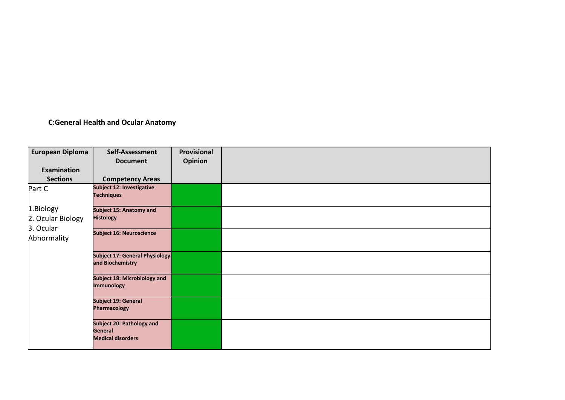# **C:General Health and Ocular Anatomy**

| <b>European Diploma</b>        | Self-Assessment                                                         | Provisional    |  |
|--------------------------------|-------------------------------------------------------------------------|----------------|--|
| Examination                    | <b>Document</b>                                                         | <b>Opinion</b> |  |
| <b>Sections</b>                | <b>Competency Areas</b>                                                 |                |  |
| Part C                         | Subject 12: Investigative<br><b>Techniques</b>                          |                |  |
| 1.Biology<br>2. Ocular Biology | <b>Subject 15: Anatomy and</b><br><b>Histology</b>                      |                |  |
| 3. Ocular<br>Abnormality       | <b>Subject 16: Neuroscience</b>                                         |                |  |
|                                | Subject 17: General Physiology<br>and Biochemistry                      |                |  |
|                                | Subject 18: Microbiology and<br><b>Immunology</b>                       |                |  |
|                                | Subject 19: General<br><b>Pharmacology</b>                              |                |  |
|                                | <b>Subject 20: Pathology and</b><br>General<br><b>Medical disorders</b> |                |  |